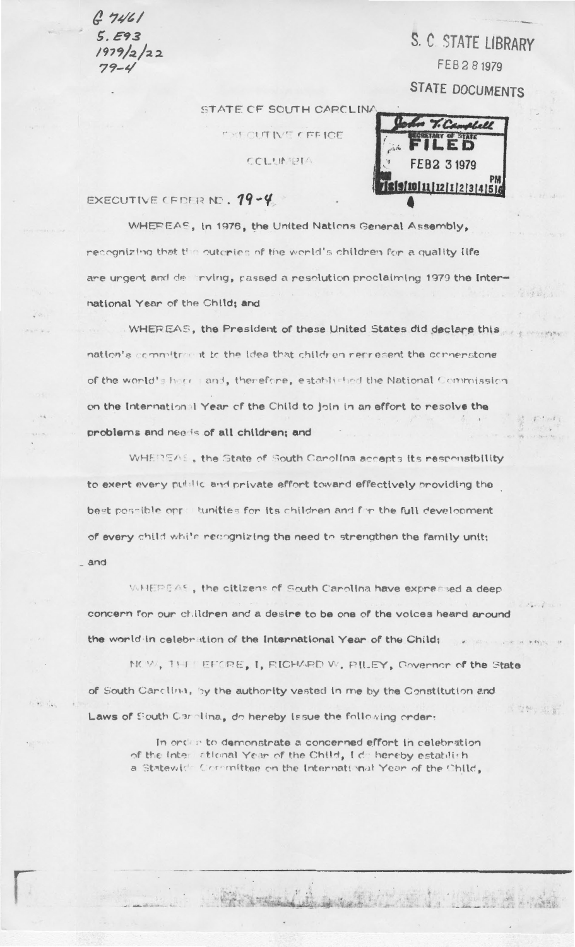$67461$  $5.593$  $1979/2/22$  $79 - 4$ 

S. C STATE LIBRARY FEB281979 **STATE DOCUMENTS** 

STATE OF SOUTH CARCLINA

**FXI CUTIVE CEFICE** 

CCLUMBIA

E D FEB2 3 1979 10 11 12 11 2 3 4 5 1

## EXECUTIVE CEDER NO. 19-4

WHEREAS, In 1976, the United Nations General Assembly, recognizing that the outcries of the world's children for a quality life are urgent and de inving, passed a resolution proclaiming 1979 the International Year of the Child; and

WHEREAS, the President of these United States did declare this nation's commitment to the idea that children nerresent the connenstone of the world's here and, therefore, established the National Commission on the International Year of the Child to join in an effort to resolve the problems and needs of all children; and

WHEREAS, the State of South Canolina accepts its responsibility to exert every public and private effort toward effectively providing the best possible opre tunities for its children and for the full development of every child while recognizing the need to strengthen the family unit;

 $-$  and

WHEREAS, the citizens of South Carolina have expressed a deep concern for our children and a desire to be one of the voices heard around the world in celebration of the International Year of the Child:

NOW, THE EFORE, I, RICHARD W. RILEY, Governor of the State of South Carolina, by the authority vested in me by the Constitution and 5 应酬,即调 Laws of South Carolina, do hereby issue the following order:

In order to demonstrate a concerned effort in celebration of the Inter ational Year of the Child, I de hereby establish a Statewich Committee on the International Year of the Child,

Warthur A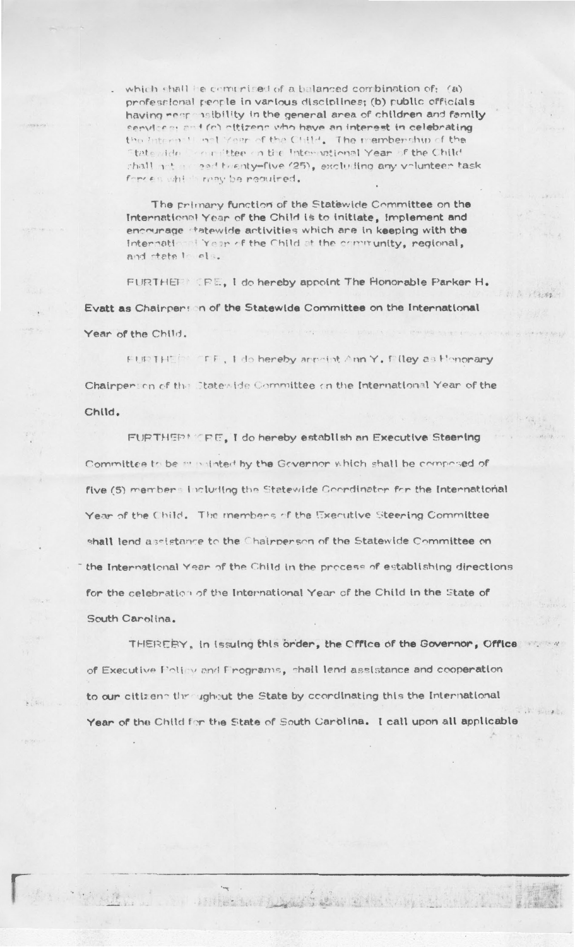which shall be commuted of a balanced combination of: (a) professional people in various disciplines; (b) public officials having near insibility in the general area of children and family cenvices: and (c) offizens who have an interest in celebrating the Internal I not Year of the Child. The membership of the Statewide Committee on the International Year of the Child chall not a need twenty-five (25), excluding any volunteer task forces which may be required.

The primary function of the Statewide Committee on the International Year of the Child is to initiate, implement and encourage statewide activities which are in keeping with the International Year of the Child at the community, regional, and state in els.

FURTHET CRE, I do hereby appoint The Honorable Parker H. Evatt as Chairperson of the Statewide Committee on the International Year of the Child.

FURTHEM FFF, I do hereby arrestst Ann Y. Filley as Henorary Chairpension of the Statewide Committee on the International Year of the Child.

FURTHERMORE, I do hereby establish an Executive Steering Committee to be minimided by the Governor which shall be composed of five (5) members including the Statewide Coordinator for the International Year of the Child. The members of the Executive Steering Committee shall lend assistance to the Chairpenson of the Statewide Committee on the International Year of the Child in the process of establishing directions for the celebration of the International Year of the Child in the State of South Carolina.

THEREEY, in Issuing this order, the Office of the Governor, Office of Executive Poliny and Frograms, shall lend assistance and cooperation to our citizens throughout the State by coordinating this the International Year of the Child for the State of South Carolina. I call upon all applicable

ambertand prompt the state of the state of the in